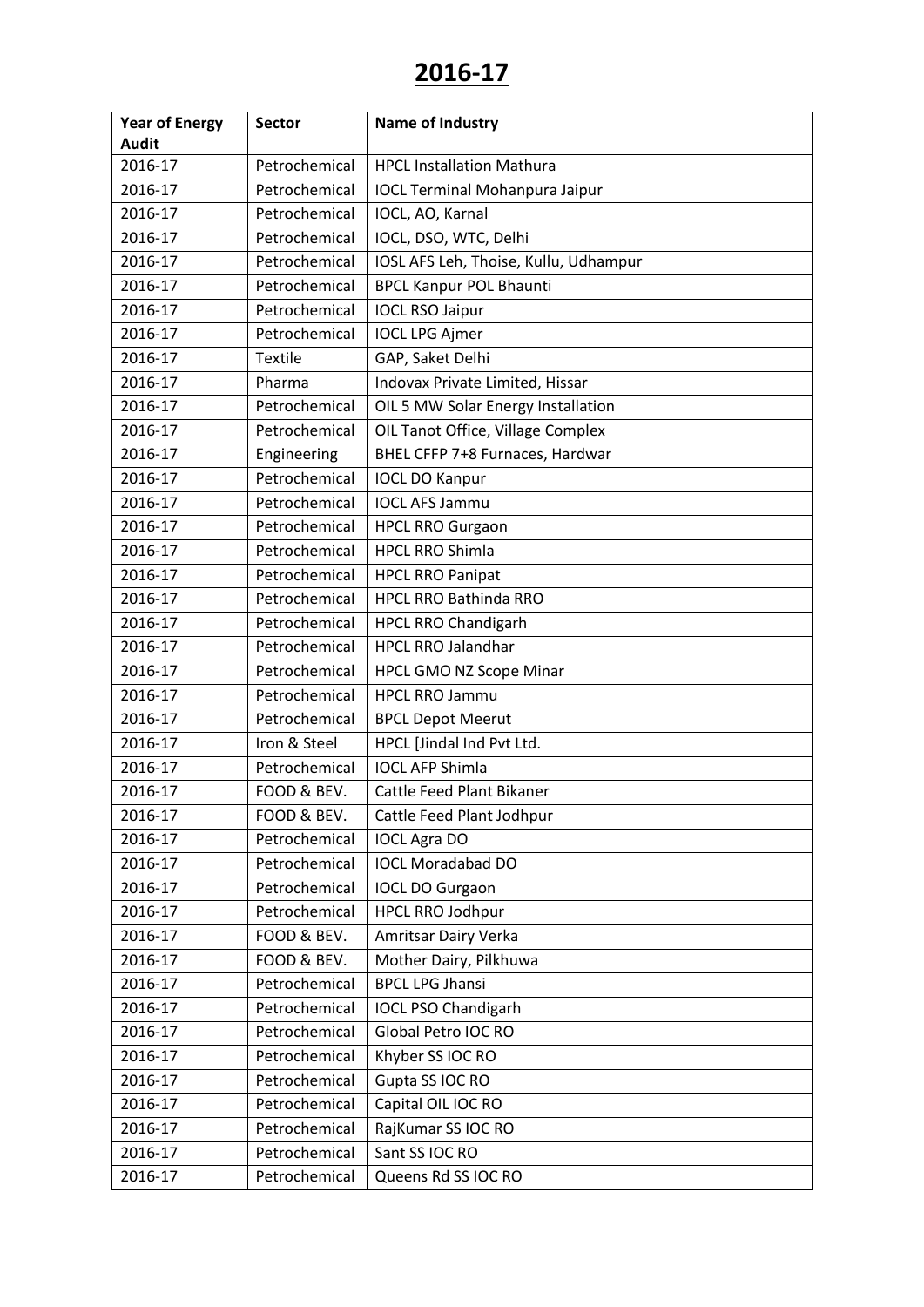| <b>Year of Energy</b> | <b>Sector</b>  | <b>Name of Industry</b>               |
|-----------------------|----------------|---------------------------------------|
| <b>Audit</b>          |                |                                       |
| 2016-17               | Petrochemical  | <b>HPCL Installation Mathura</b>      |
| 2016-17               | Petrochemical  | <b>IOCL Terminal Mohanpura Jaipur</b> |
| 2016-17               | Petrochemical  | IOCL, AO, Karnal                      |
| 2016-17               | Petrochemical  | IOCL, DSO, WTC, Delhi                 |
| 2016-17               | Petrochemical  | IOSL AFS Leh, Thoise, Kullu, Udhampur |
| 2016-17               | Petrochemical  | <b>BPCL Kanpur POL Bhaunti</b>        |
| 2016-17               | Petrochemical  | <b>IOCL RSO Jaipur</b>                |
| 2016-17               | Petrochemical  | <b>IOCL LPG Ajmer</b>                 |
| 2016-17               | <b>Textile</b> | GAP, Saket Delhi                      |
| 2016-17               | Pharma         | Indovax Private Limited, Hissar       |
| 2016-17               | Petrochemical  | OIL 5 MW Solar Energy Installation    |
| 2016-17               | Petrochemical  | OIL Tanot Office, Village Complex     |
| 2016-17               | Engineering    | BHEL CFFP 7+8 Furnaces, Hardwar       |
| 2016-17               | Petrochemical  | <b>IOCL DO Kanpur</b>                 |
| 2016-17               | Petrochemical  | <b>IOCL AFS Jammu</b>                 |
| 2016-17               | Petrochemical  | <b>HPCL RRO Gurgaon</b>               |
| 2016-17               | Petrochemical  | <b>HPCL RRO Shimla</b>                |
| 2016-17               | Petrochemical  | <b>HPCL RRO Panipat</b>               |
| 2016-17               | Petrochemical  | <b>HPCL RRO Bathinda RRO</b>          |
| 2016-17               | Petrochemical  | <b>HPCL RRO Chandigarh</b>            |
| 2016-17               | Petrochemical  | <b>HPCL RRO Jalandhar</b>             |
| 2016-17               | Petrochemical  | <b>HPCL GMO NZ Scope Minar</b>        |
| 2016-17               | Petrochemical  | <b>HPCL RRO Jammu</b>                 |
| 2016-17               | Petrochemical  | <b>BPCL Depot Meerut</b>              |
| 2016-17               | Iron & Steel   | HPCL [Jindal Ind Pvt Ltd.             |
| 2016-17               | Petrochemical  | <b>IOCL AFP Shimla</b>                |
| 2016-17               | FOOD & BEV.    | Cattle Feed Plant Bikaner             |
| 2016-17               | FOOD & BEV.    | Cattle Feed Plant Jodhpur             |
| 2016-17               | Petrochemical  | <b>IOCL Agra DO</b>                   |
| 2016-17               | Petrochemical  | <b>IOCL Moradabad DO</b>              |
| 2016-17               | Petrochemical  | <b>IOCL DO Gurgaon</b>                |
| 2016-17               | Petrochemical  | <b>HPCL RRO Jodhpur</b>               |
| 2016-17               | FOOD & BEV.    | Amritsar Dairy Verka                  |
| 2016-17               | FOOD & BEV.    | Mother Dairy, Pilkhuwa                |
| 2016-17               | Petrochemical  | <b>BPCL LPG Jhansi</b>                |
| 2016-17               | Petrochemical  | <b>IOCL PSO Chandigarh</b>            |
| 2016-17               | Petrochemical  | Global Petro IOC RO                   |
| 2016-17               | Petrochemical  | Khyber SS IOC RO                      |
| 2016-17               | Petrochemical  | Gupta SS IOC RO                       |
| 2016-17               | Petrochemical  | Capital OIL IOC RO                    |
| 2016-17               | Petrochemical  | RajKumar SS IOC RO                    |
| 2016-17               | Petrochemical  | Sant SS IOC RO                        |
| 2016-17               | Petrochemical  | Queens Rd SS IOC RO                   |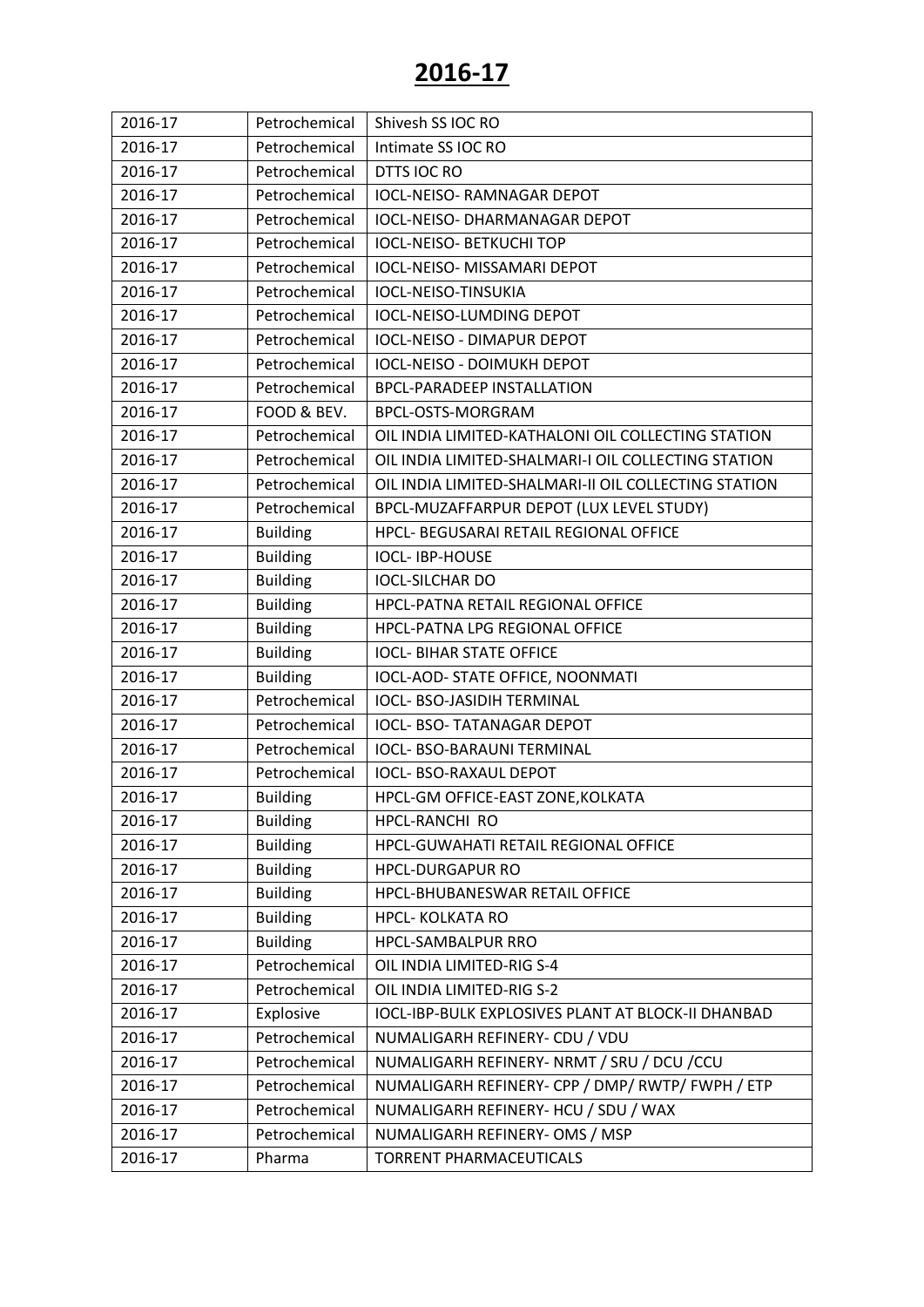| 2016-17 | Petrochemical   | Shivesh SS IOC RO                                    |
|---------|-----------------|------------------------------------------------------|
| 2016-17 | Petrochemical   | Intimate SS IOC RO                                   |
| 2016-17 | Petrochemical   | DTTS IOC RO                                          |
| 2016-17 | Petrochemical   | <b>IOCL-NEISO- RAMNAGAR DEPOT</b>                    |
| 2016-17 | Petrochemical   | <b>IOCL-NEISO- DHARMANAGAR DEPOT</b>                 |
| 2016-17 | Petrochemical   | <b>IOCL-NEISO- BETKUCHI TOP</b>                      |
| 2016-17 | Petrochemical   | IOCL-NEISO- MISSAMARI DEPOT                          |
| 2016-17 | Petrochemical   | IOCL-NEISO-TINSUKIA                                  |
| 2016-17 | Petrochemical   | <b>IOCL-NEISO-LUMDING DEPOT</b>                      |
| 2016-17 | Petrochemical   | <b>IOCL-NEISO - DIMAPUR DEPOT</b>                    |
| 2016-17 | Petrochemical   | <b>IOCL-NEISO - DOIMUKH DEPOT</b>                    |
| 2016-17 | Petrochemical   | <b>BPCL-PARADEEP INSTALLATION</b>                    |
| 2016-17 | FOOD & BEV.     | BPCL-OSTS-MORGRAM                                    |
| 2016-17 | Petrochemical   | OIL INDIA LIMITED-KATHALONI OIL COLLECTING STATION   |
| 2016-17 | Petrochemical   | OIL INDIA LIMITED-SHALMARI-I OIL COLLECTING STATION  |
| 2016-17 | Petrochemical   | OIL INDIA LIMITED-SHALMARI-II OIL COLLECTING STATION |
| 2016-17 | Petrochemical   | BPCL-MUZAFFARPUR DEPOT (LUX LEVEL STUDY)             |
| 2016-17 | <b>Building</b> | HPCL- BEGUSARAI RETAIL REGIONAL OFFICE               |
| 2016-17 | <b>Building</b> | <b>IOCL-IBP-HOUSE</b>                                |
| 2016-17 | <b>Building</b> | <b>IOCL-SILCHAR DO</b>                               |
| 2016-17 | <b>Building</b> | HPCL-PATNA RETAIL REGIONAL OFFICE                    |
| 2016-17 | <b>Building</b> | HPCL-PATNA LPG REGIONAL OFFICE                       |
| 2016-17 | <b>Building</b> | <b>IOCL- BIHAR STATE OFFICE</b>                      |
| 2016-17 | <b>Building</b> | IOCL-AOD- STATE OFFICE, NOONMATI                     |
| 2016-17 | Petrochemical   | <b>IOCL- BSO-JASIDIH TERMINAL</b>                    |
| 2016-17 | Petrochemical   | <b>IOCL- BSO- TATANAGAR DEPOT</b>                    |
| 2016-17 | Petrochemical   | <b>IOCL- BSO-BARAUNI TERMINAL</b>                    |
| 2016-17 | Petrochemical   | <b>IOCL- BSO-RAXAUL DEPOT</b>                        |
| 2016-17 | <b>Building</b> | HPCL-GM OFFICE-EAST ZONE, KOLKATA                    |
| 2016-17 | <b>Building</b> | HPCL-RANCHI RO                                       |
| 2016-17 | <b>Building</b> | HPCL-GUWAHATI RETAIL REGIONAL OFFICE                 |
| 2016-17 | <b>Building</b> | <b>HPCL-DURGAPUR RO</b>                              |
| 2016-17 | <b>Building</b> | HPCL-BHUBANESWAR RETAIL OFFICE                       |
| 2016-17 | <b>Building</b> | <b>HPCL- KOLKATA RO</b>                              |
| 2016-17 | <b>Building</b> | HPCL-SAMBALPUR RRO                                   |
| 2016-17 | Petrochemical   | OIL INDIA LIMITED-RIG S-4                            |
| 2016-17 | Petrochemical   | OIL INDIA LIMITED-RIG S-2                            |
| 2016-17 | Explosive       | IOCL-IBP-BULK EXPLOSIVES PLANT AT BLOCK-II DHANBAD   |
| 2016-17 | Petrochemical   | NUMALIGARH REFINERY- CDU / VDU                       |
| 2016-17 | Petrochemical   | NUMALIGARH REFINERY- NRMT / SRU / DCU / CCU          |
| 2016-17 | Petrochemical   | NUMALIGARH REFINERY- CPP / DMP/ RWTP/ FWPH / ETP     |
| 2016-17 | Petrochemical   | NUMALIGARH REFINERY- HCU / SDU / WAX                 |
| 2016-17 | Petrochemical   | NUMALIGARH REFINERY- OMS / MSP                       |
| 2016-17 | Pharma          | TORRENT PHARMACEUTICALS                              |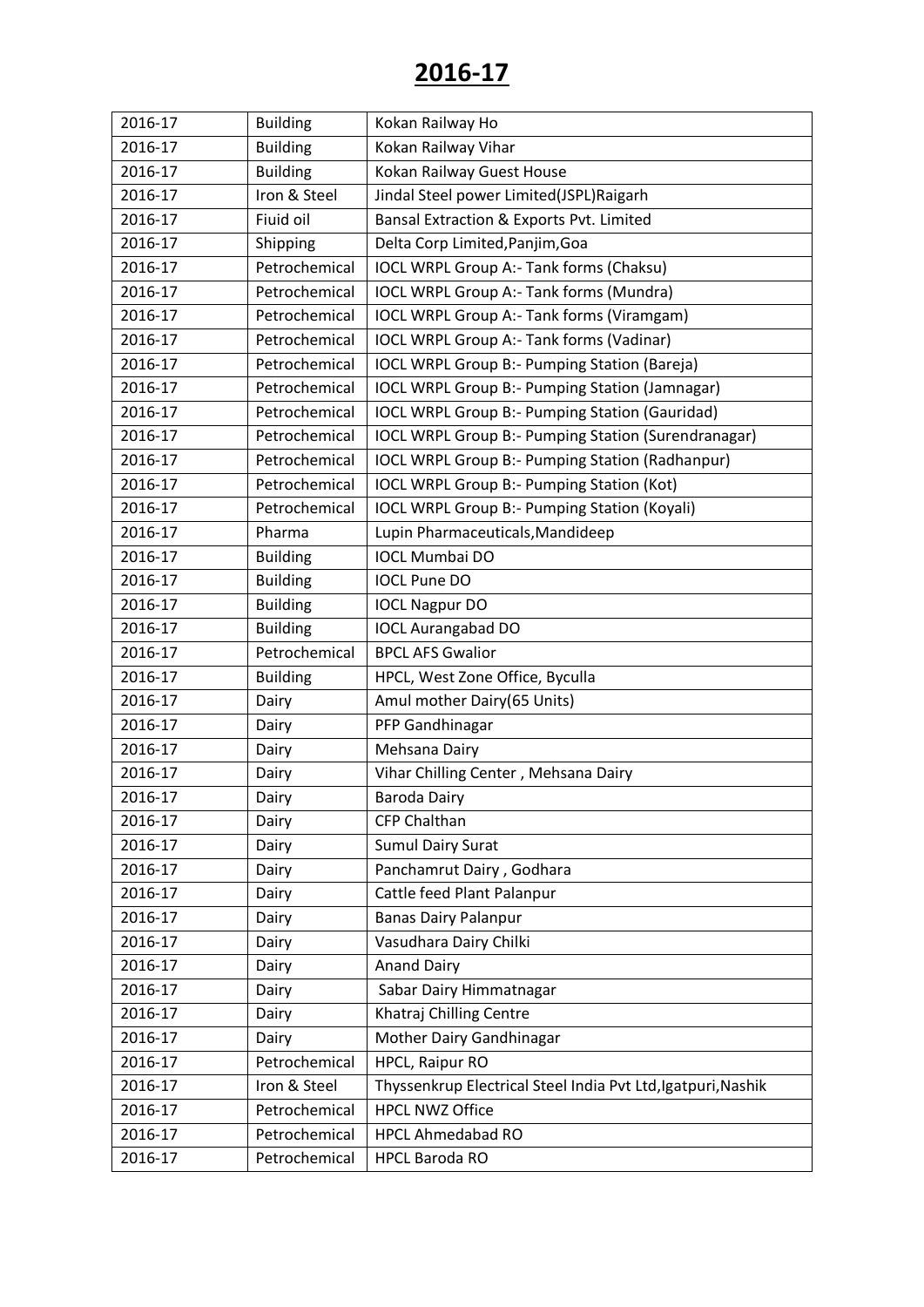| 2016-17 | <b>Building</b> | Kokan Railway Ho                                             |
|---------|-----------------|--------------------------------------------------------------|
| 2016-17 | <b>Building</b> | Kokan Railway Vihar                                          |
| 2016-17 | <b>Building</b> | Kokan Railway Guest House                                    |
| 2016-17 | Iron & Steel    | Jindal Steel power Limited(JSPL)Raigarh                      |
| 2016-17 | Fiuid oil       | Bansal Extraction & Exports Pvt. Limited                     |
| 2016-17 | Shipping        | Delta Corp Limited, Panjim, Goa                              |
| 2016-17 | Petrochemical   | IOCL WRPL Group A:- Tank forms (Chaksu)                      |
| 2016-17 | Petrochemical   | IOCL WRPL Group A:- Tank forms (Mundra)                      |
| 2016-17 | Petrochemical   | IOCL WRPL Group A:- Tank forms (Viramgam)                    |
| 2016-17 | Petrochemical   | IOCL WRPL Group A:- Tank forms (Vadinar)                     |
| 2016-17 | Petrochemical   | <b>IOCL WRPL Group B:- Pumping Station (Bareja)</b>          |
| 2016-17 | Petrochemical   | <b>IOCL WRPL Group B:- Pumping Station (Jamnagar)</b>        |
| 2016-17 | Petrochemical   | <b>IOCL WRPL Group B:- Pumping Station (Gauridad)</b>        |
| 2016-17 | Petrochemical   | IOCL WRPL Group B:- Pumping Station (Surendranagar)          |
| 2016-17 | Petrochemical   | <b>IOCL WRPL Group B:- Pumping Station (Radhanpur)</b>       |
| 2016-17 | Petrochemical   | IOCL WRPL Group B:- Pumping Station (Kot)                    |
| 2016-17 | Petrochemical   | <b>IOCL WRPL Group B:- Pumping Station (Koyali)</b>          |
| 2016-17 | Pharma          | Lupin Pharmaceuticals, Mandideep                             |
| 2016-17 | <b>Building</b> | <b>IOCL Mumbai DO</b>                                        |
| 2016-17 | <b>Building</b> | <b>IOCL Pune DO</b>                                          |
| 2016-17 | <b>Building</b> | <b>IOCL Nagpur DO</b>                                        |
| 2016-17 | <b>Building</b> | <b>IOCL Aurangabad DO</b>                                    |
| 2016-17 | Petrochemical   | <b>BPCL AFS Gwalior</b>                                      |
| 2016-17 | <b>Building</b> | HPCL, West Zone Office, Byculla                              |
| 2016-17 | Dairy           | Amul mother Dairy(65 Units)                                  |
| 2016-17 | Dairy           | PFP Gandhinagar                                              |
| 2016-17 | Dairy           | Mehsana Dairy                                                |
| 2016-17 | Dairy           | Vihar Chilling Center, Mehsana Dairy                         |
| 2016-17 | Dairy           | <b>Baroda Dairy</b>                                          |
| 2016-17 | Dairy           | CFP Chalthan                                                 |
| 2016-17 | Dairy           | <b>Sumul Dairy Surat</b>                                     |
| 2016-17 | Dairy           | Panchamrut Dairy, Godhara                                    |
| 2016-17 | Dairy           | Cattle feed Plant Palanpur                                   |
| 2016-17 | Dairy           | <b>Banas Dairy Palanpur</b>                                  |
| 2016-17 | Dairy           | Vasudhara Dairy Chilki                                       |
| 2016-17 | Dairy           | <b>Anand Dairy</b>                                           |
| 2016-17 | Dairy           | Sabar Dairy Himmatnagar                                      |
| 2016-17 | Dairy           | Khatraj Chilling Centre                                      |
| 2016-17 | Dairy           | Mother Dairy Gandhinagar                                     |
| 2016-17 | Petrochemical   | HPCL, Raipur RO                                              |
| 2016-17 | Iron & Steel    | Thyssenkrup Electrical Steel India Pvt Ltd, Igatpuri, Nashik |
| 2016-17 | Petrochemical   | <b>HPCL NWZ Office</b>                                       |
| 2016-17 | Petrochemical   | <b>HPCL Ahmedabad RO</b>                                     |
| 2016-17 | Petrochemical   | <b>HPCL Baroda RO</b>                                        |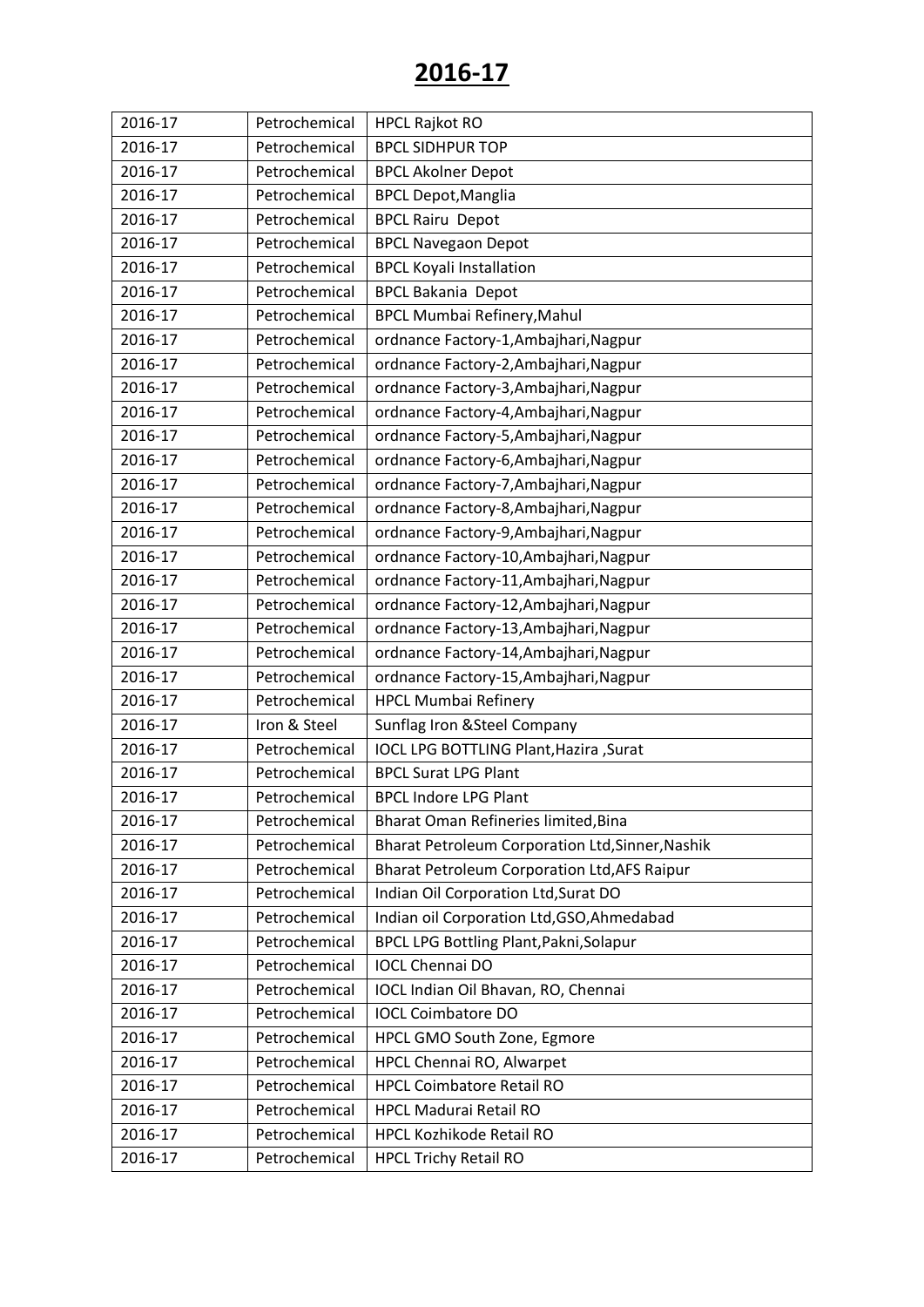| 2016-17 | Petrochemical | <b>HPCL Rajkot RO</b>                               |
|---------|---------------|-----------------------------------------------------|
| 2016-17 | Petrochemical | <b>BPCL SIDHPUR TOP</b>                             |
| 2016-17 | Petrochemical | <b>BPCL Akolner Depot</b>                           |
| 2016-17 | Petrochemical | <b>BPCL Depot, Manglia</b>                          |
| 2016-17 | Petrochemical | <b>BPCL Rairu Depot</b>                             |
| 2016-17 | Petrochemical | <b>BPCL Navegaon Depot</b>                          |
| 2016-17 | Petrochemical | <b>BPCL Koyali Installation</b>                     |
| 2016-17 | Petrochemical | <b>BPCL Bakania Depot</b>                           |
| 2016-17 | Petrochemical | <b>BPCL Mumbai Refinery, Mahul</b>                  |
| 2016-17 | Petrochemical | ordnance Factory-1, Ambajhari, Nagpur               |
| 2016-17 | Petrochemical | ordnance Factory-2, Ambajhari, Nagpur               |
| 2016-17 | Petrochemical | ordnance Factory-3, Ambajhari, Nagpur               |
| 2016-17 | Petrochemical | ordnance Factory-4, Ambajhari, Nagpur               |
| 2016-17 | Petrochemical | ordnance Factory-5, Ambajhari, Nagpur               |
| 2016-17 | Petrochemical | ordnance Factory-6, Ambajhari, Nagpur               |
| 2016-17 | Petrochemical | ordnance Factory-7, Ambajhari, Nagpur               |
| 2016-17 | Petrochemical | ordnance Factory-8, Ambajhari, Nagpur               |
| 2016-17 | Petrochemical | ordnance Factory-9, Ambajhari, Nagpur               |
| 2016-17 | Petrochemical | ordnance Factory-10, Ambajhari, Nagpur              |
| 2016-17 | Petrochemical | ordnance Factory-11, Ambajhari, Nagpur              |
| 2016-17 | Petrochemical | ordnance Factory-12, Ambajhari, Nagpur              |
| 2016-17 | Petrochemical | ordnance Factory-13, Ambajhari, Nagpur              |
| 2016-17 | Petrochemical | ordnance Factory-14, Ambajhari, Nagpur              |
| 2016-17 | Petrochemical | ordnance Factory-15, Ambajhari, Nagpur              |
| 2016-17 | Petrochemical | <b>HPCL Mumbai Refinery</b>                         |
| 2016-17 | Iron & Steel  | Sunflag Iron & Steel Company                        |
| 2016-17 | Petrochemical | IOCL LPG BOTTLING Plant, Hazira, Surat              |
| 2016-17 | Petrochemical | <b>BPCL Surat LPG Plant</b>                         |
| 2016-17 | Petrochemical | <b>BPCL Indore LPG Plant</b>                        |
| 2016-17 | Petrochemical | Bharat Oman Refineries limited, Bina                |
| 2016-17 | Petrochemical | Bharat Petroleum Corporation Ltd, Sinner, Nashik    |
| 2016-17 | Petrochemical | <b>Bharat Petroleum Corporation Ltd, AFS Raipur</b> |
| 2016-17 | Petrochemical | Indian Oil Corporation Ltd, Surat DO                |
| 2016-17 | Petrochemical | Indian oil Corporation Ltd, GSO, Ahmedabad          |
| 2016-17 | Petrochemical | <b>BPCL LPG Bottling Plant, Pakni, Solapur</b>      |
| 2016-17 | Petrochemical | <b>IOCL Chennai DO</b>                              |
| 2016-17 | Petrochemical | IOCL Indian Oil Bhavan, RO, Chennai                 |
| 2016-17 | Petrochemical | <b>IOCL Coimbatore DO</b>                           |
| 2016-17 | Petrochemical | HPCL GMO South Zone, Egmore                         |
| 2016-17 | Petrochemical | HPCL Chennai RO, Alwarpet                           |
| 2016-17 | Petrochemical | <b>HPCL Coimbatore Retail RO</b>                    |
| 2016-17 | Petrochemical | <b>HPCL Madurai Retail RO</b>                       |
| 2016-17 | Petrochemical | HPCL Kozhikode Retail RO                            |
| 2016-17 | Petrochemical | <b>HPCL Trichy Retail RO</b>                        |